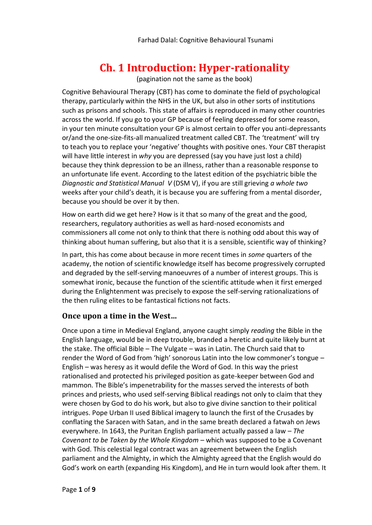# **Ch. 1 Introduction: Hyper-rationality**

(pagination not the same as the book)

Cognitive Behavioural Therapy (CBT) has come to dominate the field of psychological therapy, particularly within the NHS in the UK, but also in other sorts of institutions such as prisons and schools. This state of affairs is reproduced in many other countries across the world. If you go to your GP because of feeling depressed for some reason, in your ten minute consultation your GP is almost certain to offer you anti-depressants or/and the one-size-fits-all manualized treatment called CBT. The 'treatment' will try to teach you to replace your 'negative' thoughts with positive ones. Your CBT therapist will have little interest in *why* you are depressed (say you have just lost a child) because they think depression to be an illness, rather than a reasonable response to an unfortunate life event. According to the latest edition of the psychiatric bible the *Diagnostic and Statistical Manual V* (DSM V), if you are still grieving *a whole two*  weeks after your child's death, it is because you are suffering from a mental disorder, because you should be over it by then.

How on earth did we get here? How is it that so many of the great and the good, researchers, regulatory authorities as well as hard-nosed economists and commissioners all come not only to think that there is nothing odd about this way of thinking about human suffering, but also that it is a sensible, scientific way of thinking?

In part, this has come about because in more recent times in *some* quarters of the academy, the notion of scientific knowledge itself has become progressively corrupted and degraded by the self-serving manoeuvres of a number of interest groups. This is somewhat ironic, because the function of the scientific attitude when it first emerged during the Enlightenment was precisely to expose the self-serving rationalizations of the then ruling elites to be fantastical fictions not facts.

#### **Once upon a time in the West…**

Once upon a time in Medieval England, anyone caught simply *reading* the Bible in the English language, would be in deep trouble, branded a heretic and quite likely burnt at the stake. The official Bible – The Vulgate – was in Latin. The Church said that to render the Word of God from 'high' sonorous Latin into the low commoner's tongue – English – was heresy as it would defile the Word of God. In this way the priest rationalised and protected his privileged position as gate-keeper between God and mammon. The Bible's impenetrability for the masses served the interests of both princes and priests, who used self-serving Biblical readings not only to claim that they were chosen by God to do his work, but also to give divine sanction to their political intrigues. Pope Urban II used Biblical imagery to launch the first of the Crusades by conflating the Saracen with Satan, and in the same breath declared a fatwah on Jews everywhere. In 1643, the Puritan English parliament actually passed a law – *The Covenant to be Taken by the Whole Kingdom* – which was supposed to be a Covenant with God. This celestial legal contract was an agreement between the English parliament and the Almighty, in which the Almighty agreed that the English would do God's work on earth (expanding His Kingdom), and He in turn would look after them. It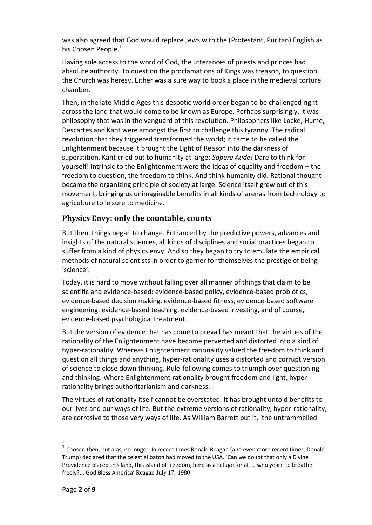was also agreed that God would replace Jews with the (Protestant, Puritan) English as his Chosen People.<sup>1</sup>

Having sole access to the word of God, the utterances of priests and princes had absolute authority. To question the proclamations of Kings was treason, to question the Church was heresy. Either was a sure way to book a place in the medieval torture chamber.

Then, in the late Middle Ages this despotic world order began to be challenged right across the land that would come to be known as Europe. Perhaps surprisingly, it was philosophy that was in the vanguard of this revolution. Philosophers like Locke, Hume, Descartes and Kant were amongst the first to challenge this tyranny. The radical revolution that they triggered transformed the world; it came to be called the Enlightenment because it brought the Light of Reason into the darkness of superstition. Kant cried out to humanity at large: *Sapere Aude!* Dare to think for yourself! Intrinsic to the Enlightenment were the ideas of equality and freedom – the freedom to question, the freedom to think. And think humanity did. Rational thought became the organizing principle of society at large. Science itself grew out of this movement, bringing us unimaginable benefits in all kinds of arenas from technology to agriculture to leisure to medicine.

## **Physics Envy: only the countable, counts**

But then, things began to change. Entranced by the predictive powers, advances and insights of the natural sciences, all kinds of disciplines and social practices began to suffer from a kind of physics envy. And so they began to try to emulate the empirical methods of natural scientists in order to garner for themselves the prestige of being 'science'.

Today, it is hard to move without falling over all manner of things that claim to be scientific and evidence-based: evidence-based policy, evidence-based probiotics, evidence-based decision making, evidence-based fitness, evidence-based software engineering, evidence-based teaching, evidence-based investing, and of course, evidence-based psychological treatment.

But the version of evidence that has come to prevail has meant that the virtues of the rationality of the Enlightenment have become perverted and distorted into a kind of hyper-rationality. Whereas Enlightenment rationality valued the freedom to think and question all things and anything, hyper-rationality uses a distorted and corrupt version of science to close down thinking. Rule-following comes to triumph over questioning and thinking. Where Enlightenment rationality brought freedom and light, hyperrationality brings authoritarianism and darkness.

The virtues of rationality itself cannot be overstated. It has brought untold benefits to our lives and our ways of life. But the extreme versions of rationality, hyper-rationality, are corrosive to those very ways of life. As William Barrett put it, 'the untrammelled

-

 $<sup>1</sup>$  Chosen then, but alas, no longer. In recent times Ronald Reagan (and even more recent times, Donald</sup> Trump) declared that the celestial baton had moved to the USA. 'Can we doubt that only a Divine Providence placed this land, this island of freedom, here as a refuge for all … who yearn to breathe freely?... God Bless America' Reagan July 17, 1980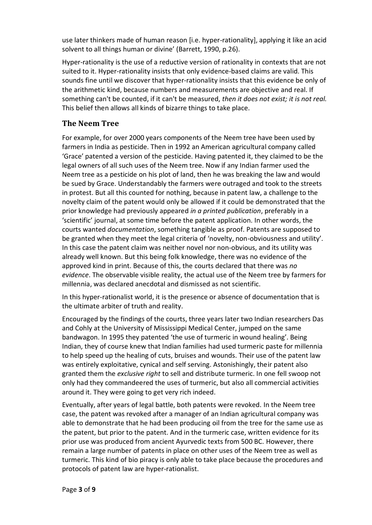use later thinkers made of human reason [i.e. hyper-rationality], applying it like an acid solvent to all things human or divine' (Barrett, 1990, p.26).

Hyper-rationality is the use of a reductive version of rationality in contexts that are not suited to it. Hyper-rationality insists that only evidence-based claims are valid. This sounds fine until we discover that hyper-rationality insists that this evidence be only of the arithmetic kind, because numbers and measurements are objective and real. If something can't be counted, if it can't be measured, *then it does not exist; it is not real.*  This belief then allows all kinds of bizarre things to take place.

#### **The Neem Tree**

For example, for over 2000 years components of the Neem tree have been used by farmers in India as pesticide. Then in 1992 an American agricultural company called 'Grace' patented a version of the pesticide. Having patented it, they claimed to be the legal owners of all such uses of the Neem tree. Now if any Indian farmer used the Neem tree as a pesticide on his plot of land, then he was breaking the law and would be sued by Grace. Understandably the farmers were outraged and took to the streets in protest. But all this counted for nothing, because in patent law, a challenge to the novelty claim of the patent would only be allowed if it could be demonstrated that the prior knowledge had previously appeared *in a printed publication*, preferably in a 'scientific' journal, at some time before the patent application. In other words, the courts wanted *documentation*, something tangible as proof. Patents are supposed to be granted when they meet the legal criteria of 'novelty, non-obviousness and utility'. In this case the patent claim was neither novel nor non-obvious, and its utility was already well known. But this being folk knowledge, there was no evidence of the approved kind in print. Because of this, the courts declared that there was *no evidence*. The observable visible reality, the actual use of the Neem tree by farmers for millennia, was declared anecdotal and dismissed as not scientific.

In this hyper-rationalist world, it is the presence or absence of documentation that is the ultimate arbiter of truth and reality.

Encouraged by the findings of the courts, three years later two Indian researchers Das and Cohly at the University of Mississippi Medical Center, jumped on the same bandwagon. In 1995 they patented 'the use of turmeric in wound healing'. Being Indian, they of course knew that Indian families had used turmeric paste for millennia to help speed up the healing of cuts, bruises and wounds. Their use of the patent law was entirely exploitative, cynical and self serving. Astonishingly, their patent also granted them the *exclusive right* to sell and distribute turmeric. In one fell swoop not only had they commandeered the uses of turmeric, but also all commercial activities around it. They were going to get very rich indeed.

Eventually, after years of legal battle, both patents were revoked. In the Neem tree case, the patent was revoked after a manager of an Indian agricultural company was able to demonstrate that he had been producing oil from the tree for the same use as the patent, but prior to the patent. And in the turmeric case, written evidence for its prior use was produced from ancient Ayurvedic texts from 500 BC. However, there remain a large number of patents in place on other uses of the Neem tree as well as turmeric. This kind of bio piracy is only able to take place because the procedures and protocols of patent law are hyper-rationalist.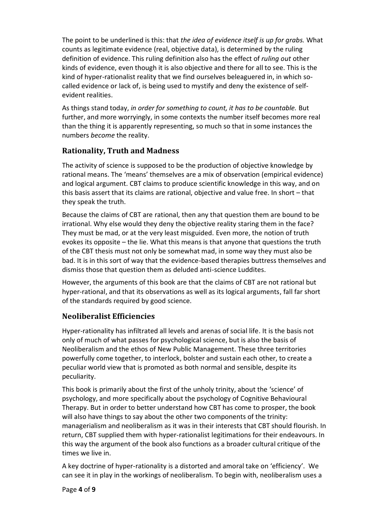The point to be underlined is this: that *the idea of evidence itself is up for grabs.* What counts as legitimate evidence (real, objective data), is determined by the ruling definition of evidence. This ruling definition also has the effect of *ruling out* other kinds of evidence, even though it is also objective and there for all to see. This is the kind of hyper-rationalist reality that we find ourselves beleaguered in, in which socalled evidence or lack of, is being used to mystify and deny the existence of selfevident realities.

As things stand today, *in order for something to count, it has to be countable.* But further, and more worryingly, in some contexts the number itself becomes more real than the thing it is apparently representing, so much so that in some instances the numbers *become* the reality.

#### **Rationality, Truth and Madness**

The activity of science is supposed to be the production of objective knowledge by rational means. The 'means' themselves are a mix of observation (empirical evidence) and logical argument. CBT claims to produce scientific knowledge in this way, and on this basis assert that its claims are rational, objective and value free. In short – that they speak the truth.

Because the claims of CBT are rational, then any that question them are bound to be irrational. Why else would they deny the objective reality staring them in the face? They must be mad, or at the very least misguided. Even more, the notion of truth evokes its opposite – the lie. What this means is that anyone that questions the truth of the CBT thesis must not only be somewhat mad, in some way they must also be bad. It is in this sort of way that the evidence-based therapies buttress themselves and dismiss those that question them as deluded anti-science Luddites.

However, the arguments of this book are that the claims of CBT are not rational but hyper-rational, and that its observations as well as its logical arguments, fall far short of the standards required by good science.

## **Neoliberalist Efficiencies**

Hyper-rationality has infiltrated all levels and arenas of social life. It is the basis not only of much of what passes for psychological science, but is also the basis of Neoliberalism and the ethos of New Public Management. These three territories powerfully come together, to interlock, bolster and sustain each other, to create a peculiar world view that is promoted as both normal and sensible, despite its peculiarity.

This book is primarily about the first of the unholy trinity, about the 'science' of psychology, and more specifically about the psychology of Cognitive Behavioural Therapy. But in order to better understand how CBT has come to prosper, the book will also have things to say about the other two components of the trinity: managerialism and neoliberalism as it was in their interests that CBT should flourish. In return, CBT supplied them with hyper-rationalist legitimations for their endeavours. In this way the argument of the book also functions as a broader cultural critique of the times we live in.

A key doctrine of hyper-rationality is a distorted and amoral take on 'efficiency'. We can see it in play in the workings of neoliberalism. To begin with, neoliberalism uses a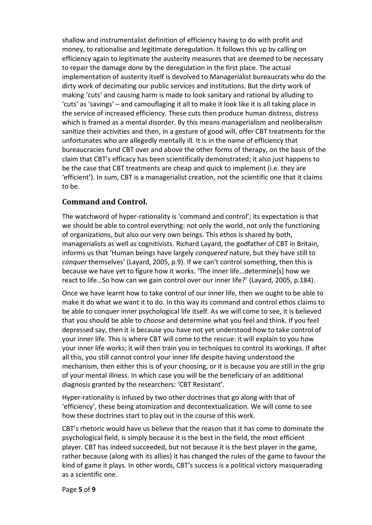shallow and instrumentalist definition of efficiency having to do with profit and money, to rationalise and legitimate deregulation. It follows this up by calling on efficiency again to legitimate the austerity measures that are deemed to be necessary to repair the damage done by the deregulation in the first place. The actual implementation of austerity itself is devolved to Managerialist bureaucrats who do the dirty work of decimating our public services and institutions. But the dirty work of making 'cuts' and causing harm is made to look sanitary and rational by alluding to 'cuts' as 'savings' – and camouflaging it all to make it look like it is all taking place in the service of increased efficiency. These cuts then produce human distress, distress which is framed as a mental disorder. By this means managerialism and neoliberalism sanitize their activities and then, in a gesture of good will, offer CBT treatments for the unfortunates who are allegedly mentally ill. It is in the name of efficiency that bureaucracies fund CBT over and above the other forms of therapy, on the basis of the claim that CBT's efficacy has been scientifically demonstrated; it also just happens to be the case that CBT treatments are cheap and quick to implement (i.e. they are 'efficient'). In sum, CBT is a managerialist creation, not the scientific one that it claims to be.

#### **Command and Control.**

The watchword of hyper-rationality is 'command and control'; its expectation is that we should be able to control everything: not only the world, not only the functioning of organizations, but also our very own beings. This ethos is shared by both, managerialists as well as cognitivists. Richard Layard, the godfather of CBT in Britain, informs us that 'Human beings have largely *conquered* nature, but they have still to *conquer* themselves' (Layard, 2005, p.9). If we can't control something, then this is because we have yet to figure how it works. 'The inner life…determine[s] how we react to life…So how can we gain control over our inner life?' (Layard, 2005, p.184).

Once we have learnt how to take control of our inner life, then we ought to be able to make it do what we want it to do. In this way its command and control ethos claims to be able to conquer inner psychological life itself. As we will come to see, it is believed that you should be able to *choose* and determine what you feel and think. If you feel depressed say, then it is because you have not yet understood how to take control of your inner life. This is where CBT will come to the rescue: it will explain to you how your inner life works; it will then train you in techniques to control its workings. If after all this, you still cannot control your inner life despite having understood the mechanism, then either this is of your choosing, or it is because you are still in the grip of your mental illness. In which case you will be the beneficiary of an additional diagnosis granted by the researchers: 'CBT Resistant'.

Hyper-rationality is infused by two other doctrines that go along with that of 'efficiency', these being atomization and decontextualization. We will come to see how these doctrines start to play out in the course of this work.

CBT's rhetoric would have us believe that the reason that it has come to dominate the psychological field, is simply because it is the best in the field, the most efficient player. CBT has indeed succeeded, but not because it is the best player in the game, rather because (along with its allies) it has changed the rules of the game to favour the kind of game it plays. In other words, CBT's success is a political victory masquerading as a scientific one.

Page **5** of **9**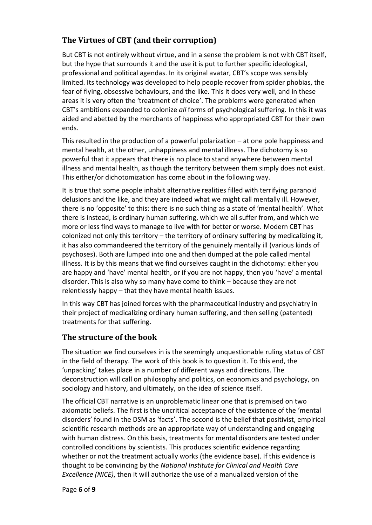# **The Virtues of CBT (and their corruption)**

But CBT is not entirely without virtue, and in a sense the problem is not with CBT itself, but the hype that surrounds it and the use it is put to further specific ideological, professional and political agendas. In its original avatar, CBT's scope was sensibly limited. Its technology was developed to help people recover from spider phobias, the fear of flying, obsessive behaviours, and the like. This it does very well, and in these areas it is very often the 'treatment of choice'. The problems were generated when CBT's ambitions expanded to colonize *all* forms of psychological suffering. In this it was aided and abetted by the merchants of happiness who appropriated CBT for their own ends.

This resulted in the production of a powerful polarization – at one pole happiness and mental health, at the other, unhappiness and mental illness. The dichotomy is so powerful that it appears that there is no place to stand anywhere between mental illness and mental health, as though the territory between them simply does not exist. This either/or dichotomization has come about in the following way.

It is true that some people inhabit alternative realities filled with terrifying paranoid delusions and the like, and they are indeed what we might call mentally ill. However, there is no 'opposite' to this: there is no such thing as a state of 'mental health'. What there is instead, is ordinary human suffering, which we all suffer from, and which we more or less find ways to manage to live with for better or worse. Modern CBT has colonized not only this territory – the territory of ordinary suffering by medicalizing it, it has also commandeered the territory of the genuinely mentally ill (various kinds of psychoses). Both are lumped into one and then dumped at the pole called mental illness. It is by this means that we find ourselves caught in the dichotomy: either you are happy and 'have' mental health, or if you are not happy, then you 'have' a mental disorder. This is also why so many have come to think – because they are not relentlessly happy – that they have mental health issues.

In this way CBT has joined forces with the pharmaceutical industry and psychiatry in their project of medicalizing ordinary human suffering, and then selling (patented) treatments for that suffering.

#### **The structure of the book**

The situation we find ourselves in is the seemingly unquestionable ruling status of CBT in the field of therapy. The work of this book is to question it. To this end, the 'unpacking' takes place in a number of different ways and directions. The deconstruction will call on philosophy and politics, on economics and psychology, on sociology and history, and ultimately, on the idea of science itself.

The official CBT narrative is an unproblematic linear one that is premised on two axiomatic beliefs. The first is the uncritical acceptance of the existence of the 'mental disorders' found in the DSM as 'facts'. The second is the belief that positivist, empirical scientific research methods are an appropriate way of understanding and engaging with human distress. On this basis, treatments for mental disorders are tested under controlled conditions by scientists. This produces scientific evidence regarding whether or not the treatment actually works (the evidence base). If this evidence is thought to be convincing by the *National Institute for Clinical and Health Care Excellence (NICE)*, then it will authorize the use of a manualized version of the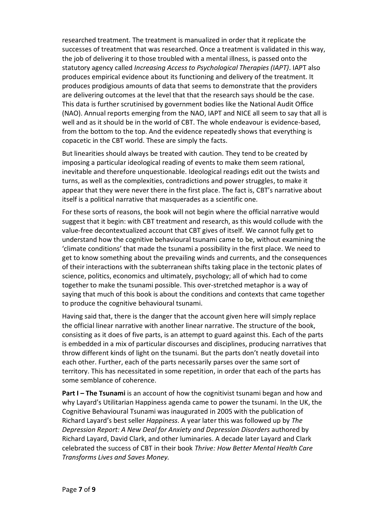researched treatment. The treatment is manualized in order that it replicate the successes of treatment that was researched. Once a treatment is validated in this way, the job of delivering it to those troubled with a mental illness, is passed onto the statutory agency called *Increasing Access to Psychological Therapies (IAPT)*. IAPT also produces empirical evidence about its functioning and delivery of the treatment. It produces prodigious amounts of data that seems to demonstrate that the providers are delivering outcomes at the level that that the research says should be the case. This data is further scrutinised by government bodies like the National Audit Office (NAO). Annual reports emerging from the NAO, IAPT and NICE all seem to say that all is well and as it should be in the world of CBT. The whole endeavour is evidence-based, from the bottom to the top. And the evidence repeatedly shows that everything is copacetic in the CBT world. These are simply the facts.

But linearities should always be treated with caution. They tend to be created by imposing a particular ideological reading of events to make them seem rational, inevitable and therefore unquestionable. Ideological readings edit out the twists and turns, as well as the complexities, contradictions and power struggles, to make it appear that they were never there in the first place. The fact is, CBT's narrative about itself is a political narrative that masquerades as a scientific one.

For these sorts of reasons, the book will not begin where the official narrative would suggest that it begin: with CBT treatment and research, as this would collude with the value-free decontextualized account that CBT gives of itself. We cannot fully get to understand how the cognitive behavioural tsunami came to be, without examining the 'climate conditions' that made the tsunami a possibility in the first place. We need to get to know something about the prevailing winds and currents, and the consequences of their interactions with the subterranean shifts taking place in the tectonic plates of science, politics, economics and ultimately, psychology; all of which had to come together to make the tsunami possible. This over-stretched metaphor is a way of saying that much of this book is about the conditions and contexts that came together to produce the cognitive behavioural tsunami.

Having said that, there is the danger that the account given here will simply replace the official linear narrative with another linear narrative. The structure of the book, consisting as it does of five parts, is an attempt to guard against this. Each of the parts is embedded in a mix of particular discourses and disciplines, producing narratives that throw different kinds of light on the tsunami. But the parts don't neatly dovetail into each other. Further, each of the parts necessarily parses over the same sort of territory. This has necessitated in some repetition, in order that each of the parts has some semblance of coherence.

**Part I – The Tsunami** is an account of how the cognitivist tsunami began and how and why Layard's Utilitarian Happiness agenda came to power the tsunami. In the UK, the Cognitive Behavioural Tsunami was inaugurated in 2005 with the publication of Richard Layard's best seller *Happiness*. A year later this was followed up by *The Depression Report: A New Deal for Anxiety and Depression Disorders* authored by Richard Layard, David Clark, and other luminaries. A decade later Layard and Clark celebrated the success of CBT in their book *Thrive: How Better Mental Health Care Transforms Lives and Saves Money.*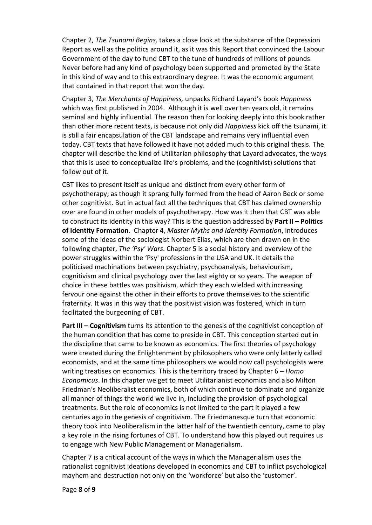Chapter 2, *The Tsunami Begins,* takes a close look at the substance of the Depression Report as well as the politics around it, as it was this Report that convinced the Labour Government of the day to fund CBT to the tune of hundreds of millions of pounds. Never before had any kind of psychology been supported and promoted by the State in this kind of way and to this extraordinary degree. It was the economic argument that contained in that report that won the day.

Chapter 3, *The Merchants of Happiness,* unpacks Richard Layard's book *Happiness* which was first published in 2004. Although it is well over ten years old, it remains seminal and highly influential. The reason then for looking deeply into this book rather than other more recent texts, is because not only did *Happiness* kick off the tsunami, it is still a fair encapsulation of the CBT landscape and remains very influential even today. CBT texts that have followed it have not added much to this original thesis. The chapter will describe the kind of Utilitarian philosophy that Layard advocates, the ways that this is used to conceptualize life's problems, and the (cognitivist) solutions that follow out of it.

CBT likes to present itself as unique and distinct from every other form of psychotherapy; as though it sprang fully formed from the head of Aaron Beck or some other cognitivist. But in actual fact all the techniques that CBT has claimed ownership over are found in other models of psychotherapy. How was it then that CBT was able to construct its identity in this way? This is the question addressed by **Part II – Politics of Identity Formation**. Chapter 4, *Master Myths and Identity Formation*, introduces some of the ideas of the sociologist Norbert Elias, which are then drawn on in the following chapter, *The 'Psy' Wars*. Chapter 5 is a social history and overview of the power struggles within the 'Psy' professions in the USA and UK. It details the politicised machinations between psychiatry, psychoanalysis, behaviourism, cognitivism and clinical psychology over the last eighty or so years. The weapon of choice in these battles was positivism, which they each wielded with increasing fervour one against the other in their efforts to prove themselves to the scientific fraternity. It was in this way that the positivist vision was fostered, which in turn facilitated the burgeoning of CBT.

**Part III - Cognitivism** turns its attention to the genesis of the cognitivist conception of the human condition that has come to preside in CBT. This conception started out in the discipline that came to be known as economics. The first theories of psychology were created during the Enlightenment by philosophers who were only latterly called economists, and at the same time philosophers we would now call psychologists were writing treatises on economics. This is the territory traced by Chapter 6 – *Homo Economicus*. In this chapter we get to meet Utilitarianist economics and also Milton Friedman's Neoliberalist economics, both of which continue to dominate and organize all manner of things the world we live in, including the provision of psychological treatments. But the role of economics is not limited to the part it played a few centuries ago in the genesis of cognitivism. The Friedmanesque turn that economic theory took into Neoliberalism in the latter half of the twentieth century, came to play a key role in the rising fortunes of CBT. To understand how this played out requires us to engage with New Public Management or Managerialism.

Chapter 7 is a critical account of the ways in which the Managerialism uses the rationalist cognitivist ideations developed in economics and CBT to inflict psychological mayhem and destruction not only on the 'workforce' but also the 'customer'.